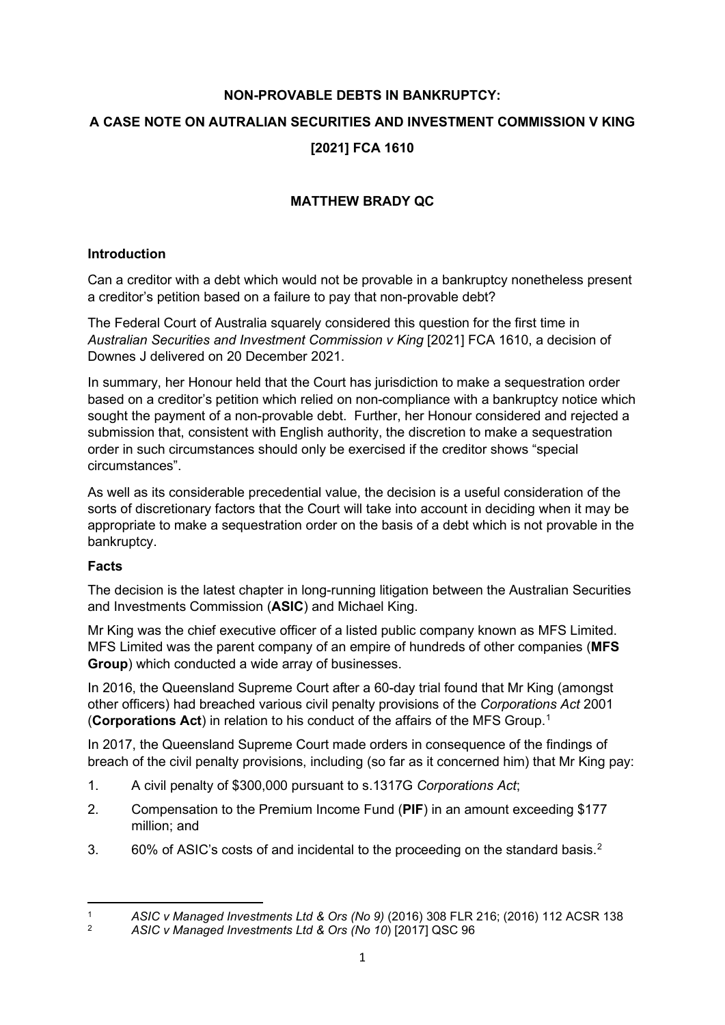# **NON-PROVABLE DEBTS IN BANKRUPTCY: A CASE NOTE ON AUTRALIAN SECURITIES AND INVESTMENT COMMISSION V KING [2021] FCA 1610**

# **MATTHEW BRADY QC**

#### **Introduction**

Can a creditor with a debt which would not be provable in a bankruptcy nonetheless present a creditor's petition based on a failure to pay that non-provable debt?

The Federal Court of Australia squarely considered this question for the first time in *Australian Securities and Investment Commission v King* [2021] FCA 1610, a decision of Downes J delivered on 20 December 2021.

In summary, her Honour held that the Court has jurisdiction to make a sequestration order based on a creditor's petition which relied on non-compliance with a bankruptcy notice which sought the payment of a non-provable debt. Further, her Honour considered and rejected a submission that, consistent with English authority, the discretion to make a sequestration order in such circumstances should only be exercised if the creditor shows "special circumstances".

As well as its considerable precedential value, the decision is a useful consideration of the sorts of discretionary factors that the Court will take into account in deciding when it may be appropriate to make a sequestration order on the basis of a debt which is not provable in the bankruptcy.

#### **Facts**

The decision is the latest chapter in long-running litigation between the Australian Securities and Investments Commission (**ASIC**) and Michael King.

Mr King was the chief executive officer of a listed public company known as MFS Limited. MFS Limited was the parent company of an empire of hundreds of other companies (**MFS Group**) which conducted a wide array of businesses.

In 2016, the Queensland Supreme Court after a 60-day trial found that Mr King (amongst other officers) had breached various civil penalty provisions of the *Corporations Act* 2001 (**Corporations Act**) in relation to his conduct of the affairs of the MFS Group.[1](#page-0-0)

In 2017, the Queensland Supreme Court made orders in consequence of the findings of breach of the civil penalty provisions, including (so far as it concerned him) that Mr King pay:

- 1. A civil penalty of \$300,000 pursuant to s.1317G *Corporations Act*;
- 2. Compensation to the Premium Income Fund (**PIF**) in an amount exceeding \$177 million; and
- 3.  $60\%$  of ASIC's costs of and incidental to the proceeding on the standard basis.<sup>[2](#page-0-1)</sup>

<span id="page-0-0"></span><sup>1</sup> *ASIC v Managed Investments Ltd & Ors (No 9)* (2016) 308 FLR 216; (2016) 112 ACSR 138

<span id="page-0-1"></span><sup>2</sup> *ASIC v Managed Investments Ltd & Ors (No 10*) [2017] QSC 96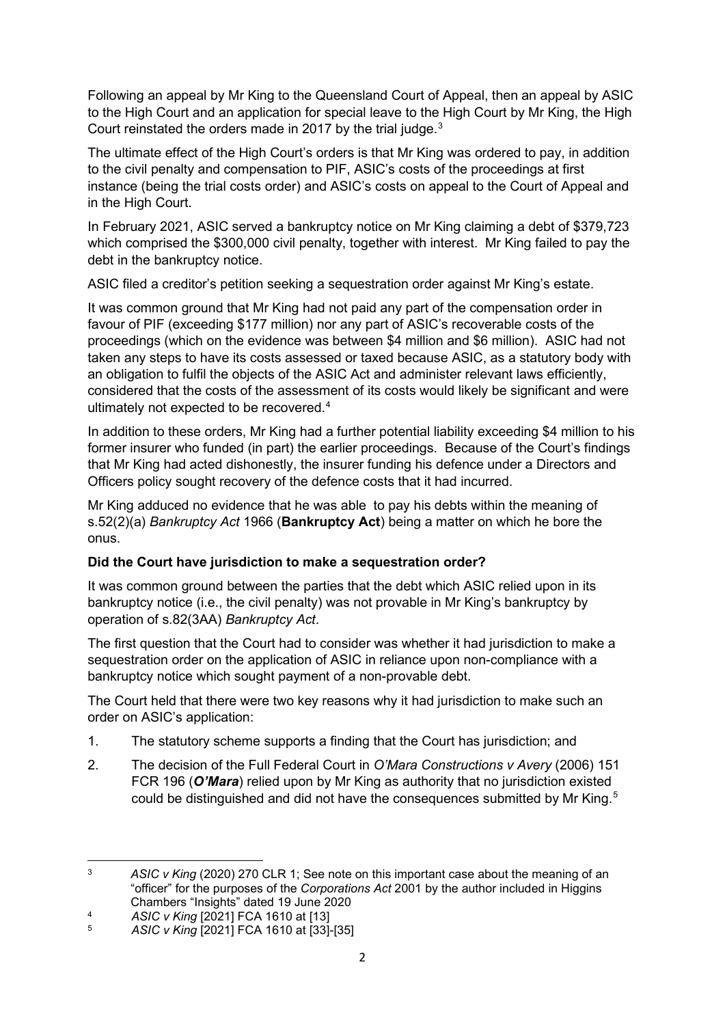Following an appeal by Mr King to the Queensland Court of Appeal, then an appeal by ASIC to the High Court and an application for special leave to the High Court by Mr King, the High Court reinstated the orders made in 2017 by the trial judge.<sup>[3](#page-1-0)</sup>

The ultimate effect of the High Court's orders is that Mr King was ordered to pay, in addition to the civil penalty and compensation to PIF, ASIC's costs of the proceedings at first instance (being the trial costs order) and ASIC's costs on appeal to the Court of Appeal and in the High Court.

In February 2021, ASIC served a bankruptcy notice on Mr King claiming a debt of \$379,723 which comprised the \$300,000 civil penalty, together with interest. Mr King failed to pay the debt in the bankruptcy notice.

ASIC filed a creditor's petition seeking a sequestration order against Mr King's estate.

It was common ground that Mr King had not paid any part of the compensation order in favour of PIF (exceeding \$177 million) nor any part of ASIC's recoverable costs of the proceedings (which on the evidence was between \$4 million and \$6 million). ASIC had not taken any steps to have its costs assessed or taxed because ASIC, as a statutory body with an obligation to fulfil the objects of the ASIC Act and administer relevant laws efficiently, considered that the costs of the assessment of its costs would likely be significant and were ultimately not expected to be recovered.[4](#page-1-1)

In addition to these orders, Mr King had a further potential liability exceeding \$4 million to his former insurer who funded (in part) the earlier proceedings. Because of the Court's findings that Mr King had acted dishonestly, the insurer funding his defence under a Directors and Officers policy sought recovery of the defence costs that it had incurred.

Mr King adduced no evidence that he was able to pay his debts within the meaning of s.52(2)(a) *Bankruptcy Act* 1966 (**Bankruptcy Act**) being a matter on which he bore the onus.

## **Did the Court have jurisdiction to make a sequestration order?**

It was common ground between the parties that the debt which ASIC relied upon in its bankruptcy notice (i.e., the civil penalty) was not provable in Mr King's bankruptcy by operation of s.82(3AA) *Bankruptcy Act*.

The first question that the Court had to consider was whether it had jurisdiction to make a sequestration order on the application of ASIC in reliance upon non-compliance with a bankruptcy notice which sought payment of a non-provable debt.

The Court held that there were two key reasons why it had jurisdiction to make such an order on ASIC's application:

- 1. The statutory scheme supports a finding that the Court has jurisdiction; and
- 2. The decision of the Full Federal Court in *O'Mara Constructions v Avery* (2006) 151 FCR 196 (*O'Mara*) relied upon by Mr King as authority that no jurisdiction existed could be distinguished and did not have the consequences submitted by Mr King.<sup>[5](#page-1-2)</sup>

<span id="page-1-0"></span><sup>3</sup> *ASIC v King* (2020) 270 CLR 1; See note on this important case about the meaning of an "officer" for the purposes of the *Corporations Act* 2001 by the author included in Higgins Chambers "Insights" dated 19 June 2020

<span id="page-1-1"></span><sup>4</sup> **ASIC v King [2021] FCA 1610 at [13]**<br>5 **ASIC v King [2021] ECA 1610 at [33]** 

<span id="page-1-2"></span><sup>5</sup> *ASIC v King* [2021] FCA 1610 at [33]-[35]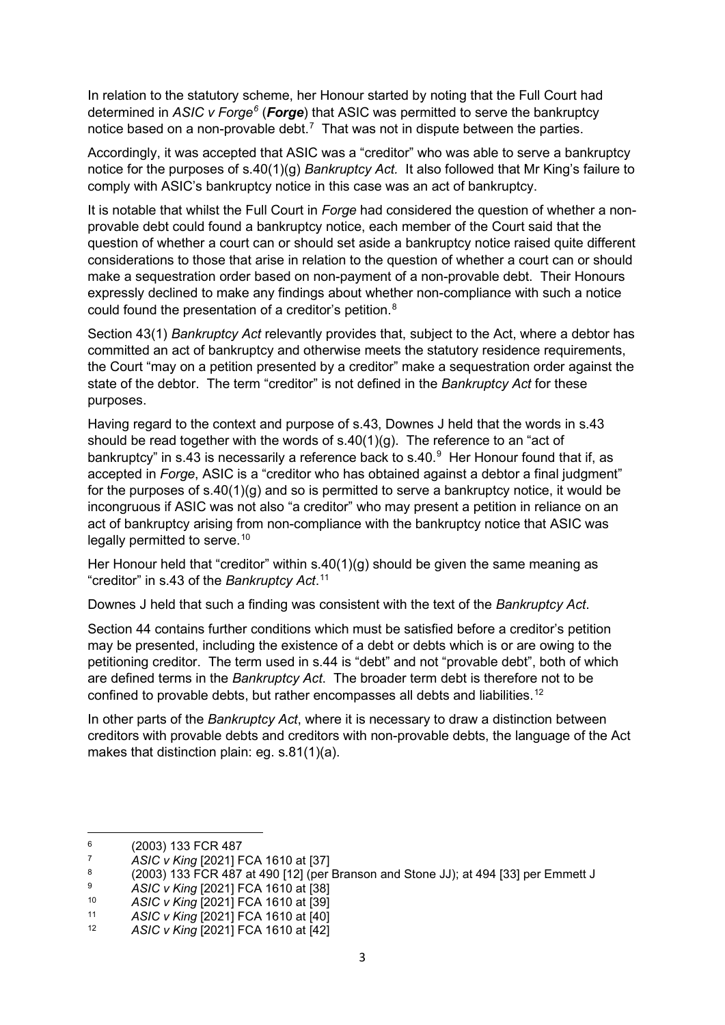In relation to the statutory scheme, her Honour started by noting that the Full Court had determined in *ASIC v Forge[6](#page-2-0)* (*Forge*) that ASIC was permitted to serve the bankruptcy notice based on a non-provable debt.<sup>[7](#page-2-1)</sup> That was not in dispute between the parties.

Accordingly, it was accepted that ASIC was a "creditor" who was able to serve a bankruptcy notice for the purposes of s.40(1)(g) *Bankruptcy Act.* It also followed that Mr King's failure to comply with ASIC's bankruptcy notice in this case was an act of bankruptcy.

It is notable that whilst the Full Court in *Forge* had considered the question of whether a nonprovable debt could found a bankruptcy notice, each member of the Court said that the question of whether a court can or should set aside a bankruptcy notice raised quite different considerations to those that arise in relation to the question of whether a court can or should make a sequestration order based on non-payment of a non-provable debt. Their Honours expressly declined to make any findings about whether non-compliance with such a notice could found the presentation of a creditor's petition. [8](#page-2-2)

Section 43(1) *Bankruptcy Act* relevantly provides that, subject to the Act, where a debtor has committed an act of bankruptcy and otherwise meets the statutory residence requirements, the Court "may on a petition presented by a creditor" make a sequestration order against the state of the debtor. The term "creditor" is not defined in the *Bankruptcy Act* for these purposes.

Having regard to the context and purpose of s.43, Downes J held that the words in s.43 should be read together with the words of  $s.40(1)(q)$ . The reference to an "act of bankruptcy" in s.43 is necessarily a reference back to s.40.<sup>[9](#page-2-3)</sup> Her Honour found that if, as accepted in *Forge*, ASIC is a "creditor who has obtained against a debtor a final judgment" for the purposes of  $s.40(1)(g)$  and so is permitted to serve a bankruptcy notice, it would be incongruous if ASIC was not also "a creditor" who may present a petition in reliance on an act of bankruptcy arising from non-compliance with the bankruptcy notice that ASIC was legally permitted to serve.<sup>[10](#page-2-4)</sup>

Her Honour held that "creditor" within s.40(1)(g) should be given the same meaning as "creditor" in s.43 of the *Bankruptcy Act*. [11](#page-2-5)

Downes J held that such a finding was consistent with the text of the *Bankruptcy Act*.

Section 44 contains further conditions which must be satisfied before a creditor's petition may be presented, including the existence of a debt or debts which is or are owing to the petitioning creditor. The term used in s.44 is "debt" and not "provable debt", both of which are defined terms in the *Bankruptcy Act*. The broader term debt is therefore not to be confined to provable debts, but rather encompasses all debts and liabilities.[12](#page-2-6)

In other parts of the *Bankruptcy Act*, where it is necessary to draw a distinction between creditors with provable debts and creditors with non-provable debts, the language of the Act makes that distinction plain: eg. s.81(1)(a).

<span id="page-2-0"></span> $^{6}$  (2003) 133 FCR 487

<span id="page-2-1"></span><sup>7</sup> *ASIC v King* [2021] FCA 1610 at [37]

<span id="page-2-2"></span><sup>8 (2003) 133</sup> FCR 487 at 490 [12] (per Branson and Stone JJ); at 494 [33] per Emmett J

<span id="page-2-3"></span><sup>9</sup> **ASIC v King [2021] FCA 1610 at [38]**<br>10 **ASIC v King [2021] ECA 1610 at [30]** 

<span id="page-2-4"></span><sup>10</sup> *ASIC v King* [2021] FCA 1610 at [39]

<span id="page-2-5"></span><sup>11</sup> *ASIC v King* [2021] FCA 1610 at [40]

<span id="page-2-6"></span><sup>12</sup> *ASIC v King* [2021] FCA 1610 at [42]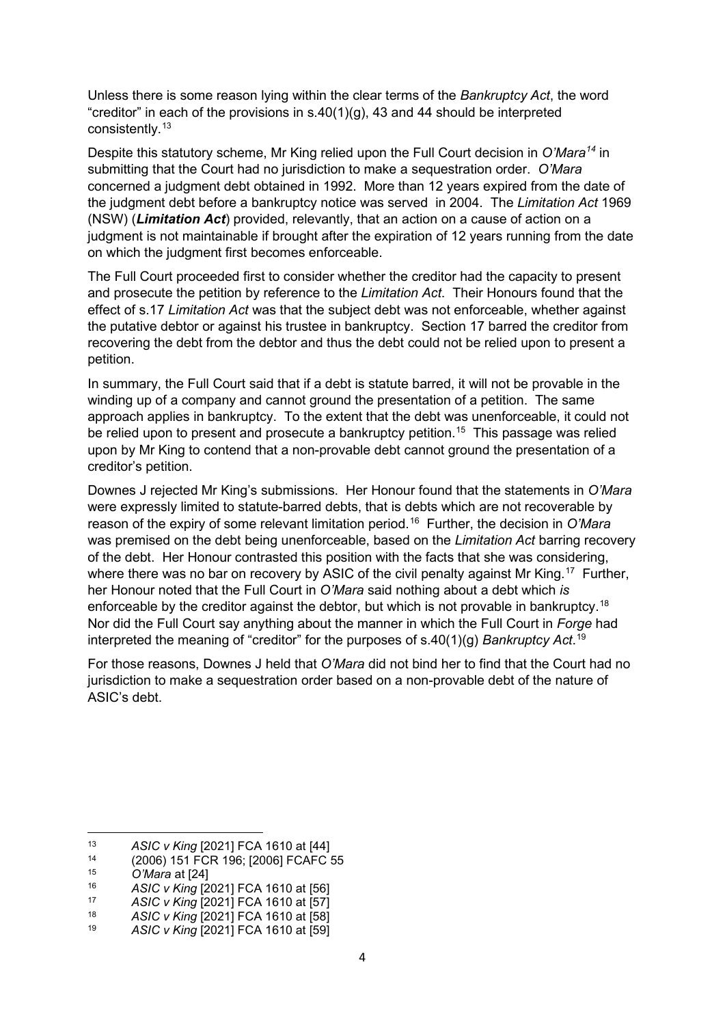Unless there is some reason lying within the clear terms of the *Bankruptcy Act*, the word "creditor" in each of the provisions in  $s.40(1)(g)$ , 43 and 44 should be interpreted consistently.[13](#page-3-0)

Despite this statutory scheme, Mr King relied upon the Full Court decision in *O'Mara[14](#page-3-1)* in submitting that the Court had no jurisdiction to make a sequestration order. *O'Mara*  concerned a judgment debt obtained in 1992. More than 12 years expired from the date of the judgment debt before a bankruptcy notice was served in 2004. The *Limitation Act* 1969 (NSW) (*Limitation Act*) provided, relevantly, that an action on a cause of action on a judgment is not maintainable if brought after the expiration of 12 years running from the date on which the judgment first becomes enforceable.

The Full Court proceeded first to consider whether the creditor had the capacity to present and prosecute the petition by reference to the *Limitation Act*. Their Honours found that the effect of s.17 *Limitation Act* was that the subject debt was not enforceable, whether against the putative debtor or against his trustee in bankruptcy. Section 17 barred the creditor from recovering the debt from the debtor and thus the debt could not be relied upon to present a petition.

In summary, the Full Court said that if a debt is statute barred, it will not be provable in the winding up of a company and cannot ground the presentation of a petition. The same approach applies in bankruptcy. To the extent that the debt was unenforceable, it could not be relied upon to present and prosecute a bankruptcy petition.<sup>[15](#page-3-2)</sup> This passage was relied upon by Mr King to contend that a non-provable debt cannot ground the presentation of a creditor's petition.

Downes J rejected Mr King's submissions. Her Honour found that the statements in *O'Mara* were expressly limited to statute-barred debts, that is debts which are not recoverable by reason of the expiry of some relevant limitation period.[16](#page-3-3) Further, the decision in *O'Mara*  was premised on the debt being unenforceable, based on the *Limitation Act* barring recovery of the debt. Her Honour contrasted this position with the facts that she was considering, where there was no bar on recovery by ASIC of the civil penalty against Mr King.<sup>[17](#page-3-4)</sup> Further, her Honour noted that the Full Court in *O'Mara* said nothing about a debt which *is*  enforceable by the creditor against the debtor, but which is not provable in bankruptcy.<sup>[18](#page-3-5)</sup> Nor did the Full Court say anything about the manner in which the Full Court in *Forge* had interpreted the meaning of "creditor" for the purposes of s.40(1)(g) *Bankruptcy Act*. [19](#page-3-6)

For those reasons, Downes J held that *O'Mara* did not bind her to find that the Court had no jurisdiction to make a sequestration order based on a non-provable debt of the nature of ASIC's debt.

<span id="page-3-0"></span><sup>13</sup> *ASIC v King* [2021] FCA 1610 at [44]

<span id="page-3-1"></span><sup>&</sup>lt;sup>14</sup> (2006) 151 FCR 196; [2006] FCAFC 55<br><sup>15</sup> (*C*'Mara at [24]

<span id="page-3-2"></span><sup>15</sup> *O'Mara* at [24]

<span id="page-3-3"></span><sup>16</sup> *ASIC v King* [2021] FCA 1610 at [56]

<span id="page-3-4"></span><sup>17</sup> *ASIC v King* [2021] FCA 1610 at [57]

<span id="page-3-5"></span><sup>18</sup> *ASIC v King* [2021] FCA 1610 at [58]

<span id="page-3-6"></span><sup>19</sup> *ASIC v King* [2021] FCA 1610 at [59]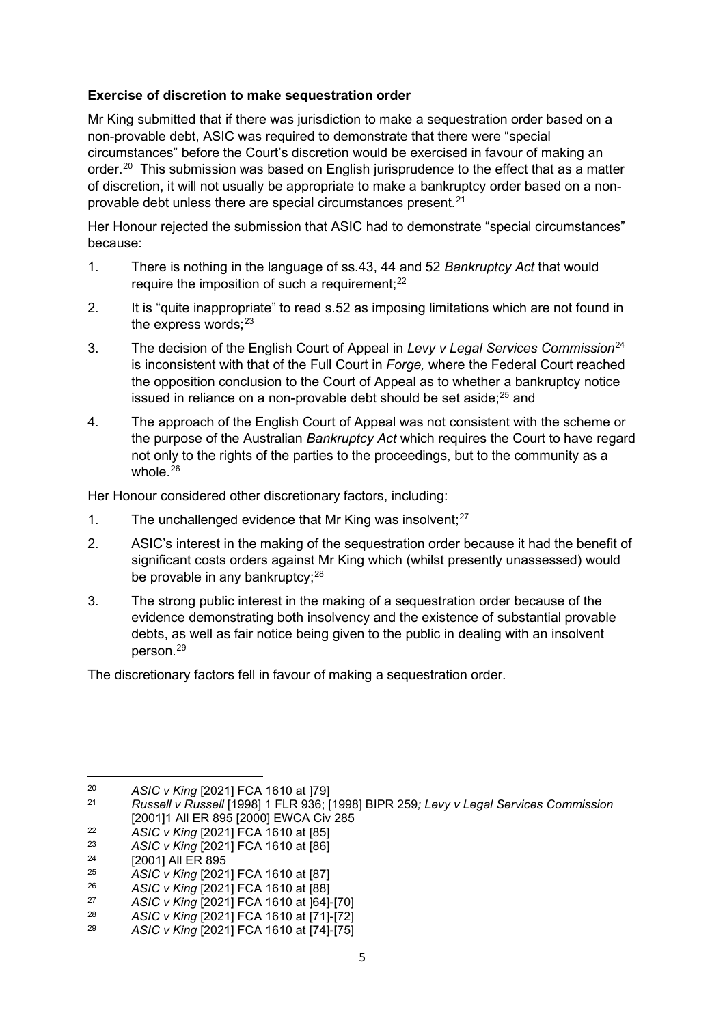#### **Exercise of discretion to make sequestration order**

Mr King submitted that if there was jurisdiction to make a sequestration order based on a non-provable debt, ASIC was required to demonstrate that there were "special circumstances" before the Court's discretion would be exercised in favour of making an order.<sup>20</sup> This submission was based on English jurisprudence to the effect that as a matter of discretion, it will not usually be appropriate to make a bankruptcy order based on a non-provable debt unless there are special circumstances present.<sup>[21](#page-4-1)</sup>

Her Honour rejected the submission that ASIC had to demonstrate "special circumstances" because:

- 1. There is nothing in the language of ss.43, 44 and 52 *Bankruptcy Act* that would require the imposition of such a requirement; $^{22}$  $^{22}$  $^{22}$
- 2. It is "quite inappropriate" to read s.52 as imposing limitations which are not found in the express words; $^{23}$  $^{23}$  $^{23}$
- 3. The decision of the English Court of Appeal in *Levy v Legal Services Commission*[24](#page-4-4) is inconsistent with that of the Full Court in *Forge,* where the Federal Court reached the opposition conclusion to the Court of Appeal as to whether a bankruptcy notice issued in reliance on a non-provable debt should be set aside; $^{25}$  $^{25}$  $^{25}$  and
- 4. The approach of the English Court of Appeal was not consistent with the scheme or the purpose of the Australian *Bankruptcy Act* which requires the Court to have regard not only to the rights of the parties to the proceedings, but to the community as a whole. $26$

Her Honour considered other discretionary factors, including:

- 1. The unchallenged evidence that Mr King was insolvent; $27$
- 2. ASIC's interest in the making of the sequestration order because it had the benefit of significant costs orders against Mr King which (whilst presently unassessed) would be provable in any bankruptcy; $^{28}$  $^{28}$  $^{28}$
- 3. The strong public interest in the making of a sequestration order because of the evidence demonstrating both insolvency and the existence of substantial provable debts, as well as fair notice being given to the public in dealing with an insolvent person.[29](#page-4-9)

The discretionary factors fell in favour of making a sequestration order.

<span id="page-4-0"></span><sup>20</sup> *ASIC v King* [2021] FCA 1610 at ]79]

<span id="page-4-1"></span><sup>21</sup> *Russell v Russell* [1998] 1 FLR 936; [1998] BIPR 259*; Levy v Legal Services Commission* [2001]1 All ER 895 [2000] EWCA Civ 285

<span id="page-4-2"></span><sup>22</sup> *ASIC v King* [2021] FCA 1610 at [85]

<span id="page-4-3"></span><sup>&</sup>lt;sup>23</sup> *ASIC v King* [2021] FCA 1610 at [86]

<span id="page-4-4"></span><sup>&</sup>lt;sup>24</sup> [2001] All ER 895

<span id="page-4-5"></span><sup>25</sup> *ASIC v King* [2021] FCA 1610 at [87]

<span id="page-4-6"></span><sup>26</sup> *ASIC v King* [2021] FCA 1610 at [88]

<span id="page-4-7"></span><sup>27</sup> *ASIC v King* [2021] FCA 1610 at ]64]-[70]

<span id="page-4-8"></span><sup>28</sup> *ASIC v King* [2021] FCA 1610 at [71]-[72]

<span id="page-4-9"></span><sup>29</sup> *ASIC v King* [2021] FCA 1610 at [74]-[75]